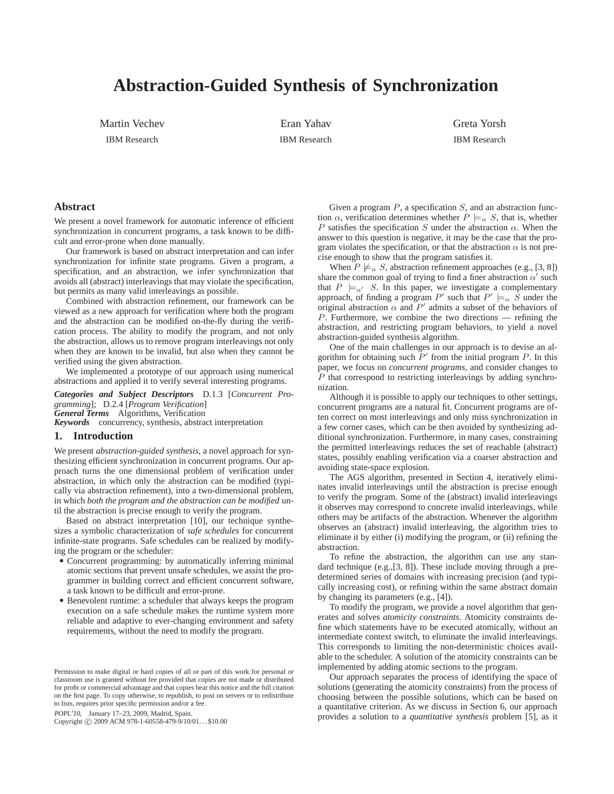# **Abstraction-Guided Synthesis of Synchronization**

Martin Vechev

IBM Research

Eran Yahav IBM Research Greta Yorsh IBM Research

# **Abstract**

We present a novel framework for automatic inference of efficient synchronization in concurrent programs, a task known to be difficult and error-prone when done manually.

Our framework is based on abstract interpretation and can infer synchronization for infinite state programs. Given a program, a specification, and an abstraction, we infer synchronization that avoids all (abstract) interleavings that may violate the specification, but permits as many valid interleavings as possible.

Combined with abstraction refinement, our framework can be viewed as a new approach for verification where both the program and the abstraction can be modified on-the-fly during the verification process. The ability to modify the program, and not only the abstraction, allows us to remove program interleavings not only when they are known to be invalid, but also when they cannot be verified using the given abstraction.

We implemented a prototype of our approach using numerical abstractions and applied it to verify several interesting programs.

*Categories and Subject Descriptors* D.1.3 [*Concurrent Programming*]; D.2.4 [*Program Verification*]

*General Terms* Algorithms, Verification

*Keywords* concurrency, synthesis, abstract interpretation

## **1. Introduction**

We present *abstraction-guided synthesis*, a novel approach for synthesizing efficient synchronization in concurrent programs. Our approach turns the one dimensional problem of verification under abstraction, in which only the abstraction can be modified (typically via abstraction refinement), into a two-dimensional problem, in which *both the program and the abstraction can be modified* until the abstraction is precise enough to verify the program.

Based on abstract interpretation [10], our technique synthesizes a symbolic characterization of *safe schedules* for concurrent infinite-state programs. Safe schedules can be realized by modifying the program or the scheduler:

- Concurrent programming: by automatically inferring minimal atomic sections that prevent unsafe schedules, we assist the programmer in building correct and efficient concurrent software, a task known to be difficult and error-prone.
- Benevolent runtime: a scheduler that always keeps the program execution on a safe schedule makes the runtime system more reliable and adaptive to ever-changing environment and safety requirements, without the need to modify the program.

POPL'10, January 17–23, 2009, Madrid, Spain.

Copyright © 2009 ACM 978-1-60558-479-9/10/01... \$10.00

Given a program  $P$ , a specification  $S$ , and an abstraction function  $\alpha$ , verification determines whether  $P \models_{\alpha} S$ , that is, whether P satisfies the specification S under the abstraction  $\alpha$ . When the answer to this question is negative, it may be the case that the program violates the specification, or that the abstraction  $\alpha$  is not precise enough to show that the program satisfies it.

When  $P \not\models_{\alpha} S$ , abstraction refinement approaches (e.g., [3, 8]) share the common goal of trying to find a finer abstraction  $\alpha'$  such that  $P \models_{\alpha'} S$ . In this paper, we investigate a complementary approach, of finding a program P' such that  $P' \models_{\alpha} S$  under the original abstraction  $\alpha$  and  $P'$  admits a subset of the behaviors of P. Furthermore, we combine the two directions — refining the abstraction, and restricting program behaviors, to yield a novel abstraction-guided synthesis algorithm.

One of the main challenges in our approach is to devise an algorithm for obtaining such  $P'$  from the initial program  $P$ . In this paper, we focus on *concurrent programs*, and consider changes to P that correspond to restricting interleavings by adding synchronization.

Although it is possible to apply our techniques to other settings, concurrent programs are a natural fit. Concurrent programs are often correct on most interleavings and only miss synchronization in a few corner cases, which can be then avoided by synthesizing additional synchronization. Furthermore, in many cases, constraining the permitted interleavings reduces the set of reachable (abstract) states, possibly enabling verification via a coarser abstraction and avoiding state-space explosion.

The AGS algorithm, presented in Section 4, iteratively eliminates invalid interleavings until the abstraction is precise enough to verify the program. Some of the (abstract) invalid interleavings it observes may correspond to concrete invalid interleavings, while others may be artifacts of the abstraction. Whenever the algorithm observes an (abstract) invalid interleaving, the algorithm tries to eliminate it by either (i) modifying the program, or (ii) refining the abstraction.

To refine the abstraction, the algorithm can use any standard technique (e.g.,[3, 8]). These include moving through a predetermined series of domains with increasing precision (and typically increasing cost), or refining within the same abstract domain by changing its parameters (e.g., [4]).

To modify the program, we provide a novel algorithm that generates and solves *atomicity constraints*. Atomicity constraints define which statements have to be executed atomically, without an intermediate context switch, to eliminate the invalid interleavings. This corresponds to limiting the non-deterministic choices available to the scheduler. A solution of the atomicity constraints can be implemented by adding atomic sections to the program.

Our approach separates the process of identifying the space of solutions (generating the atomicity constraints) from the process of choosing between the possible solutions, which can be based on a quantitative criterion. As we discuss in Section 6, our approach provides a solution to a *quantitative synthesis* problem [5], as it

Permission to make digital or hard copies of all or part of this work for personal or classroom use is granted without fee provided that copies are not made or distributed for profit or commercial advantage and that copies bear this notice and the full citation on the first page. To copy otherwise, to republish, to post on servers or to redistribute to lists, requires prior specific permission and/or a fee.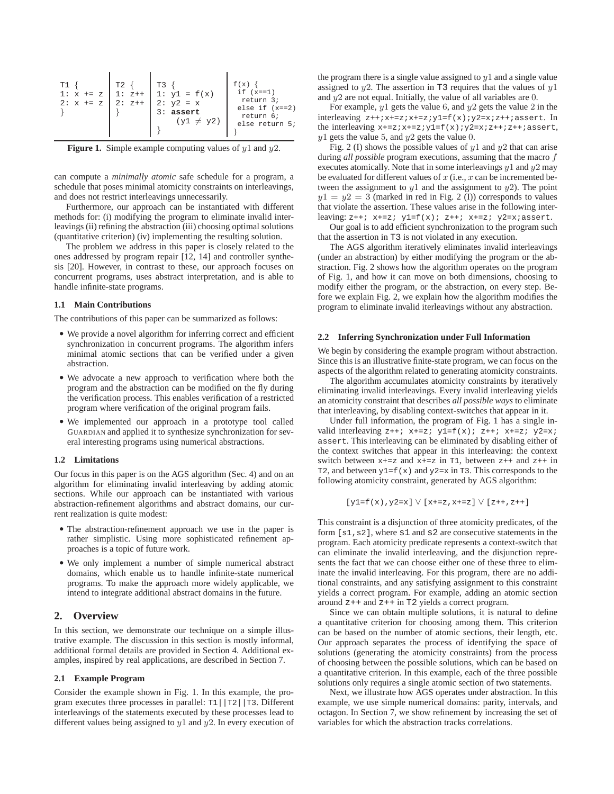| $T1$ {<br>$2: x += z \mid 2: z++ \mid 2: y2 = x$ | T <sub>2</sub> | T3<br>1: $x == z$   1: $z++$   1: $y1 = f(x)$<br>$3:$ assert<br>$(y1 \neq y2)$ | $f(x)$ {<br>if $(x==1)$<br>return 3;<br>else if $(x == 2)$<br>return 6;<br>else return 5; |
|--------------------------------------------------|----------------|--------------------------------------------------------------------------------|-------------------------------------------------------------------------------------------|
|--------------------------------------------------|----------------|--------------------------------------------------------------------------------|-------------------------------------------------------------------------------------------|

**Figure 1.** Simple example computing values of  $y1$  and  $y2$ .

can compute a *minimally atomic* safe schedule for a program, a schedule that poses minimal atomicity constraints on interleavings, and does not restrict interleavings unnecessarily.

Furthermore, our approach can be instantiated with different methods for: (i) modifying the program to eliminate invalid interleavings (ii) refining the abstraction (iii) choosing optimal solutions (quantitative criterion) (iv) implementing the resulting solution.

The problem we address in this paper is closely related to the ones addressed by program repair [12, 14] and controller synthesis [20]. However, in contrast to these, our approach focuses on concurrent programs, uses abstract interpretation, and is able to handle infinite-state programs.

#### **1.1 Main Contributions**

The contributions of this paper can be summarized as follows:

- We provide a novel algorithm for inferring correct and efficient synchronization in concurrent programs. The algorithm infers minimal atomic sections that can be verified under a given abstraction.
- We advocate a new approach to verification where both the program and the abstraction can be modified on the fly during the verification process. This enables verification of a restricted program where verification of the original program fails.
- We implemented our approach in a prototype tool called GUARDIAN and applied it to synthesize synchronization for several interesting programs using numerical abstractions.

#### **1.2 Limitations**

Our focus in this paper is on the AGS algorithm (Sec. 4) and on an algorithm for eliminating invalid interleaving by adding atomic sections. While our approach can be instantiated with various abstraction-refinement algorithms and abstract domains, our current realization is quite modest:

- The abstraction-refinement approach we use in the paper is rather simplistic. Using more sophisticated refinement approaches is a topic of future work.
- We only implement a number of simple numerical abstract domains, which enable us to handle infinite-state numerical programs. To make the approach more widely applicable, we intend to integrate additional abstract domains in the future.

# **2. Overview**

In this section, we demonstrate our technique on a simple illustrative example. The discussion in this section is mostly informal, additional formal details are provided in Section 4. Additional examples, inspired by real applications, are described in Section 7.

## **2.1 Example Program**

Consider the example shown in Fig. 1. In this example, the program executes three processes in parallel: T1||T2||T3. Different interleavings of the statements executed by these processes lead to different values being assigned to  $y1$  and  $y2$ . In every execution of the program there is a single value assigned to  $y1$  and a single value assigned to  $y2$ . The assertion in T3 requires that the values of  $y1$ and  $y2$  are not equal. Initially, the value of all variables are 0.

For example,  $y1$  gets the value 6, and  $y2$  gets the value 2 in the interleaving  $z++i x+=z; x+=z; y1=f(x); y2=x; z++i$  assert. In the interleaving  $x+=z; x+=z; y1=f(x); y2=x; z++; z++; assert,$  $y1$  gets the value 5, and  $y2$  gets the value 0.

Fig. 2 (I) shows the possible values of  $y1$  and  $y2$  that can arise during *all possible* program executions, assuming that the macro f executes atomically. Note that in some interleavings  $y1$  and  $y2$  may be evaluated for different values of  $x$  (i.e.,  $x$  can be incremented between the assignment to  $y1$  and the assignment to  $y2$ ). The point  $y1 = y2 = 3$  (marked in red in Fig. 2 (I)) corresponds to values that violate the assertion. These values arise in the following interleaving:  $z++; x+=z; y1=f(x); z++; x+=z; y2=x; assert.$ 

Our goal is to add efficient synchronization to the program such that the assertion in T3 is not violated in any execution.

The AGS algorithm iteratively eliminates invalid interleavings (under an abstraction) by either modifying the program or the abstraction. Fig. 2 shows how the algorithm operates on the program of Fig. 1, and how it can move on both dimensions, choosing to modify either the program, or the abstraction, on every step. Before we explain Fig. 2, we explain how the algorithm modifies the program to eliminate invalid iterleavings without any abstraction.

## **2.2 Inferring Synchronization under Full Information**

We begin by considering the example program without abstraction. Since this is an illustrative finite-state program, we can focus on the aspects of the algorithm related to generating atomicity constraints.

The algorithm accumulates atomicity constraints by iteratively eliminating invalid interleavings. Every invalid interleaving yields an atomicity constraint that describes *all possible ways* to eliminate that interleaving, by disabling context-switches that appear in it.

Under full information, the program of Fig. 1 has a single invalid interleaving  $z++$ ;  $x+=z$ ;  $y1=f(x)$ ;  $z++$ ;  $x+=z$ ;  $y2=x$ ; assert. This interleaving can be eliminated by disabling either of the context switches that appear in this interleaving: the context switch between  $x+z$  and  $x+z$  in T1, between  $z++$  and  $z++$  in T2, and between  $y1=f(x)$  and  $y2=x$  in T3. This corresponds to the following atomicity constraint, generated by AGS algorithm:

 $[y1=f(x), y2=x] \vee [x+z, x+z] \vee [z++, z++]$ 

This constraint is a disjunction of three atomicity predicates, of the form [s1,s2], where s1 and s2 are consecutive statements in the program. Each atomicity predicate represents a context-switch that can eliminate the invalid interleaving, and the disjunction represents the fact that we can choose either one of these three to eliminate the invalid interleaving. For this program, there are no additional constraints, and any satisfying assignment to this constraint yields a correct program. For example, adding an atomic section around  $z++$  and  $z++$  in T2 yields a correct program.

Since we can obtain multiple solutions, it is natural to define a quantitative criterion for choosing among them. This criterion can be based on the number of atomic sections, their length, etc. Our approach separates the process of identifying the space of solutions (generating the atomicity constraints) from the process of choosing between the possible solutions, which can be based on a quantitative criterion. In this example, each of the three possible solutions only requires a single atomic section of two statements.

Next, we illustrate how AGS operates under abstraction. In this example, we use simple numerical domains: parity, intervals, and octagon. In Section 7, we show refinement by increasing the set of variables for which the abstraction tracks correlations.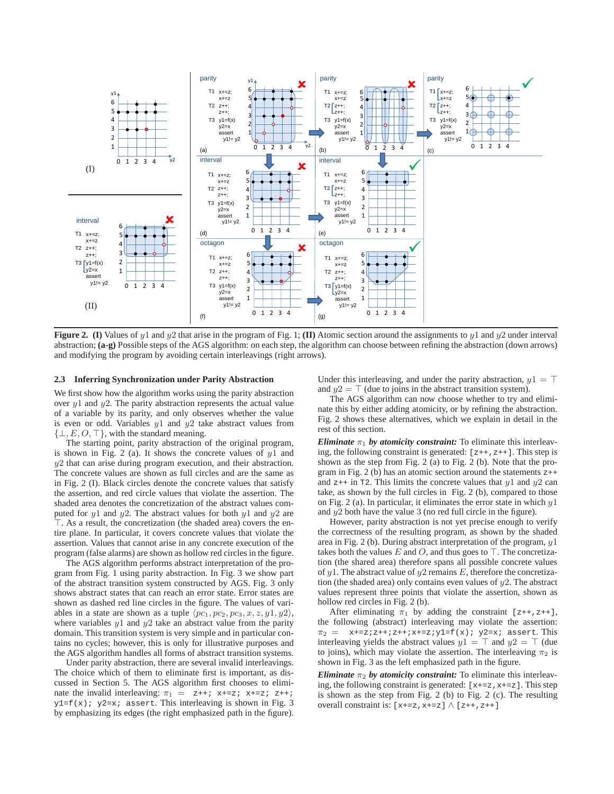

**Figure 2. (I)** Values of y1 and y2 that arise in the program of Fig. 1; **(II)** Atomic section around the assignments to y1 and y2 under interval abstraction; **(a-g)** Possible steps of the AGS algorithm: on each step, the algorithm can choose between refining the abstraction (down arrows) and modifying the program by avoiding certain interleavings (right arrows).

## **2.3 Inferring Synchronization under Parity Abstraction**

We first show how the algorithm works using the parity abstraction over  $y1$  and  $y2$ . The parity abstraction represents the actual value of a variable by its parity, and only observes whether the value is even or odd. Variables  $y1$  and  $y2$  take abstract values from  $\{\bot, E, O, \top\}$ , with the standard meaning.

The starting point, parity abstraction of the original program, is shown in Fig. 2 (a). It shows the concrete values of  $y1$  and  $y2$  that can arise during program execution, and their abstraction. The concrete values are shown as full circles and are the same as in Fig. 2 (I). Black circles denote the concrete values that satisfy the assertion, and red circle values that violate the assertion. The shaded area denotes the concretization of the abstract values computed for  $y1$  and  $y2$ . The abstract values for both  $y1$  and  $y2$  are ⊤. As a result, the concretization (the shaded area) covers the entire plane. In particular, it covers concrete values that violate the assertion. Values that cannot arise in any concrete execution of the program (false alarms) are shown as hollow red circles in the figure.

The AGS algorithm performs abstract interpretation of the program from Fig. 1 using parity abstraction. In Fig. 3 we show part of the abstract transition system constructed by AGS. Fig. 3 only shows abstract states that can reach an error state. Error states are shown as dashed red line circles in the figure. The values of variables in a state are shown as a tuple  $\langle pc_1, pc_2, pc_3, x, z, y1, y2 \rangle$ , where variables  $y1$  and  $y2$  take an abstract value from the parity domain. This transition system is very simple and in particular contains no cycles; however, this is only for illustrative purposes and the AGS algorithm handles all forms of abstract transition systems.

Under parity abstraction, there are several invalid interleavings. The choice which of them to eliminate first is important, as discussed in Section 5. The AGS algorithm first chooses to eliminate the invalid interleaving:  $\pi_1 = z++; x+=z; x+=z; z++;$  $y1=f(x)$ ;  $y2=x$ ; assert. This interleaving is shown in Fig. 3 by emphasizing its edges (the right emphasized path in the figure).

Under this interleaving, and under the parity abstraction,  $y1 = T$ and  $y2 = T$  (due to joins in the abstract transition system).

The AGS algorithm can now choose whether to try and eliminate this by either adding atomicity, or by refining the abstraction. Fig. 2 shows these alternatives, which we explain in detail in the rest of this section.

*Eliminate*  $\pi_1$  *by atomicity constraint:* To eliminate this interleaving, the following constraint is generated:  $[z++, z++]$ . This step is shown as the step from Fig. 2 (a) to Fig. 2 (b). Note that the program in Fig. 2 (b) has an atomic section around the statements  $z++$ and  $z++$  in T2. This limits the concrete values that y1 and y2 can take, as shown by the full circles in Fig. 2 (b), compared to those on Fig. 2 (a). In particular, it eliminates the error state in which  $y1$ and y2 both have the value 3 (no red full circle in the figure).

However, parity abstraction is not yet precise enough to verify the correctness of the resulting program, as shown by the shaded area in Fig. 2 (b). During abstract interpretation of the program,  $y1$ takes both the values E and O, and thus goes to  $\top$ . The concretization (the shared area) therefore spans all possible concrete values of  $y1$ . The abstract value of  $y2$  remains E, therefore the concretization (the shaded area) only contains even values of  $y2$ . The abstract values represent three points that violate the assertion, shown as hollow red circles in Fig. 2 (b).

After eliminating  $\pi_1$  by adding the constraint  $[z^{++}, z^{++}]$ , the following (abstract) interleaving may violate the assertion:  $\pi_2$  = x+=z;z++;z++;x+=z;y1=f(x); y2=x; assert. This interleaving yields the abstract values  $y1 = \top$  and  $y2 = \top$  (due to joins), which may violate the assertion. The interleaving  $\pi_2$  is shown in Fig. 3 as the left emphasized path in the figure.

*Eliminate*  $\pi_2$  *by atomicity constraint:* To eliminate this interleaving, the following constraint is generated:  $[x+z,x+z]$ . This step is shown as the step from Fig. 2 (b) to Fig. 2 (c). The resulting overall constraint is:  $[x+z,x+z] \wedge [z++,z++]$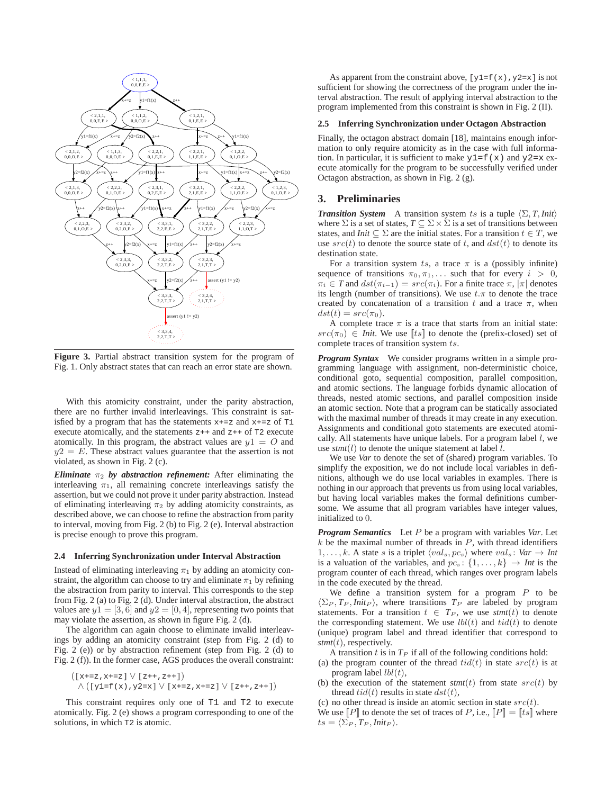

**Figure 3.** Partial abstract transition system for the program of Fig. 1. Only abstract states that can reach an error state are shown.

With this atomicity constraint, under the parity abstraction, there are no further invalid interleavings. This constraint is satisfied by a program that has the statements  $x+=z$  and  $x+=z$  of T1 execute atomically, and the statements  $z++$  and  $z++$  of T2 execute atomically. In this program, the abstract values are  $y1 = O$  and  $y2 = E$ . These abstract values guarantee that the assertion is not violated, as shown in Fig. 2 (c).

*Eliminate*  $\pi_2$  *by abstraction refinement:* After eliminating the interleaving  $\pi_1$ , all remaining concrete interleavings satisfy the assertion, but we could not prove it under parity abstraction. Instead of eliminating interleaving  $\pi_2$  by adding atomicity constraints, as described above, we can choose to refine the abstraction from parity to interval, moving from Fig. 2 (b) to Fig. 2 (e). Interval abstraction is precise enough to prove this program.

# **2.4 Inferring Synchronization under Interval Abstraction**

Instead of eliminating interleaving  $\pi_1$  by adding an atomicity constraint, the algorithm can choose to try and eliminate  $\pi_1$  by refining the abstraction from parity to interval. This corresponds to the step from Fig. 2 (a) to Fig. 2 (d). Under interval abstraction, the abstract values are  $y1 = [3, 6]$  and  $y2 = [0, 4]$ , representing two points that may violate the assertion, as shown in figure Fig. 2 (d).

The algorithm can again choose to eliminate invalid interleavings by adding an atomicity constraint (step from Fig. 2 (d) to Fig. 2 (e)) or by abstraction refinement (step from Fig. 2 (d) to Fig. 2 (f)). In the former case, AGS produces the overall constraint:

$$
([x+z, x+z] \vee [z+, z+1])
$$
  
 
$$
\wedge ([y1=f(x), y2=x] \vee [x+z, x+z] \vee [z+, z+1])
$$

This constraint requires only one of T1 and T2 to execute atomically. Fig. 2 (e) shows a program corresponding to one of the solutions, in which T2 is atomic.

As apparent from the constraint above,  $[y1=f(x),y2=x]$  is not sufficient for showing the correctness of the program under the interval abstraction. The result of applying interval abstraction to the program implemented from this constraint is shown in Fig. 2 (II).

### **2.5 Inferring Synchronization under Octagon Abstraction**

Finally, the octagon abstract domain [18], maintains enough information to only require atomicity as in the case with full information. In particular, it is sufficient to make  $y1=f(x)$  and  $y2=x$  execute atomically for the program to be successfully verified under Octagon abstraction, as shown in Fig. 2 (g).

# **3. Preliminaries**

*Transition System* A transition system ts is a tuple  $\langle \Sigma, T, \text{Init} \rangle$ where  $\Sigma$  is a set of states,  $T \subseteq \Sigma \times \Sigma$  is a set of transitions between states, and *Init*  $\subseteq \Sigma$  are the initial states. For a transition  $t \in T$ , we use  $src(t)$  to denote the source state of t, and  $dst(t)$  to denote its destination state.

For a transition system ts, a trace  $\pi$  is a (possibly infinite) sequence of transitions  $\pi_0, \pi_1, \ldots$  such that for every  $i > 0$ ,  $\pi_i \in T$  and  $dst(\pi_{i-1}) = src(\pi_i)$ . For a finite trace  $\pi$ ,  $|\pi|$  denotes its length (number of transitions). We use  $t.\pi$  to denote the trace created by concatenation of a transition t and a trace  $\pi$ , when  $dst(t) = src(\pi_0).$ 

A complete trace  $\pi$  is a trace that starts from an initial state:  $src(\pi_0) \in \textit{Init}$ . We use  $[[ts]]$  to denote the (prefix-closed) set of complete traces of transition system ts.

*Program Syntax* We consider programs written in a simple programming language with assignment, non-deterministic choice, conditional goto, sequential composition, parallel composition, and atomic sections. The language forbids dynamic allocation of threads, nested atomic sections, and parallel composition inside an atomic section. Note that a program can be statically associated with the maximal number of threads it may create in any execution. Assignments and conditional goto statements are executed atomically. All statements have unique labels. For a program label  $l$ , we use  $\textit{stmt}(l)$  to denote the unique statement at label l.

We use *Var* to denote the set of (shared) program variables. To simplify the exposition, we do not include local variables in definitions, although we do use local variables in examples. There is nothing in our approach that prevents us from using local variables, but having local variables makes the formal definitions cumbersome. We assume that all program variables have integer values, initialized to 0.

*Program Semantics* Let P be a program with variables *Var*. Let  $k$  be the maximal number of threads in  $P$ , with thread identifiers 1, ..., k. A state s is a triplet  $\langle val_s, pc_s \rangle$  where  $val_s$ : *Var*  $\rightarrow$  *Int* is a valuation of the variables, and  $pc_s$ :  $\{1, \ldots, k\} \rightarrow Int$  is the program counter of each thread, which ranges over program labels in the code executed by the thread.

We define a transition system for a program  $P$  to be  $\langle \Sigma_P, T_P, \text{Init}_P \rangle$ , where transitions  $T_P$  are labeled by program statements. For a transition  $t \in T_P$ , we use  $s t m t(t)$  to denote the corresponding statement. We use  $lbl(t)$  and  $tid(t)$  to denote (unique) program label and thread identifier that correspond to *, respectively.* 

A transition  $t$  is in  $T_P$  if all of the following conditions hold:

- (a) the program counter of the thread  $tid(t)$  in state  $src(t)$  is at program label  $lbl(t)$ ,
- (b) the execution of the statement  $s t t(t)$  from state  $s r c(t)$  by thread  $tid(t)$  results in state  $dst(t)$ ,
- (c) no other thread is inside an atomic section in state  $src(t)$ .

We use  $[P]$  to denote the set of traces of P, i.e.,  $[P] = [ts]$  where  $ts = \langle \Sigma_P, T_P, \textit{Init}_P \rangle.$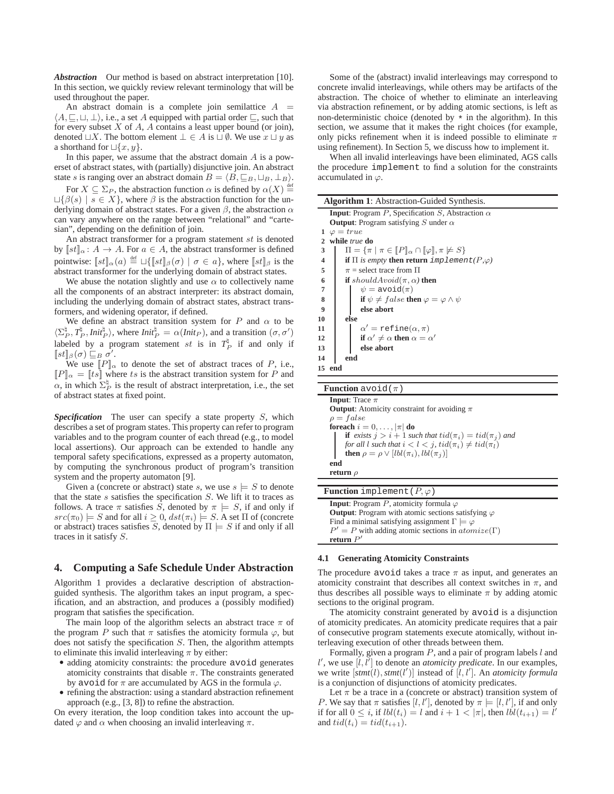*Abstraction* Our method is based on abstract interpretation [10]. In this section, we quickly review relevant terminology that will be used throughout the paper.

An abstract domain is a complete join semilattice  $A =$  $\langle A, \sqsubseteq, \sqcup, \perp \rangle$ , i.e., a set A equipped with partial order  $\sqsubseteq$ , such that for every subset  $X$  of  $A$ ,  $A$  contains a least upper bound (or join), denoted  $\sqcup X$ . The bottom element  $\bot \in A$  is  $\sqcup \emptyset$ . We use  $x \sqcup y$  as a shorthand for  $\sqcup \{x, y\}.$ 

In this paper, we assume that the abstract domain  $A$  is a powerset of abstract states, with (partially) disjunctive join. An abstract state s is ranging over an abstract domain  $B = \langle B, \subseteq_B, \sqcup_B, \perp_B \rangle$ .

For  $X \subseteq \Sigma_P$ , the abstraction function  $\alpha$  is defined by  $\alpha(X) \stackrel{\text{def}}{=}$  $\Box\{\beta(s) \mid s \in X\}$ , where  $\beta$  is the abstraction function for the underlying domain of abstract states. For a given  $\beta$ , the abstraction  $\alpha$ can vary anywhere on the range between "relational" and "cartesian", depending on the definition of join.

An abstract transformer for a program statement st is denoted by  $[st]_{\alpha}: A \rightarrow A$ . For  $a \in A$ , the abstract transformer is defined pointwise:  $[st]_{\alpha}(a) \stackrel{\text{def}}{=} \sqcup \{ [st]_{\beta}(\sigma) \mid \sigma \in a \}$ , where  $[st]_{\beta}$  is the abstract transformer for the underlying domain of abstract states.

We abuse the notation slightly and use  $\alpha$  to collectively name all the components of an abstract interpreter: its abstract domain, including the underlying domain of abstract states, abstract transformers, and widening operator, if defined.

We define an abstract transition system for P and  $\alpha$  to be  $\langle \Sigma_P^{\natural}, T_P^{\natural}, \textit{Init}_P^{\natural} \rangle$ , where  $\textit{Init}_P^{\natural} = \alpha(\textit{Init}_P)$ , and a transition  $(\sigma, \sigma')$ labeled by a program statement st is in  $T_P^{\natural}$  if and only if  $[st]_\beta(\sigma) \sqsubseteq_B \sigma'.$ 

We use  $[P]_{\alpha}$  to denote the set of abstract traces of P, i.e.,  $[$ [P] $]_{\alpha}$  =  $[$ ts] where ts is the abstract transition system for P and  $\alpha$ , in which  $\Sigma_P^{\natural}$  is the result of abstract interpretation, i.e., the set of abstract states at fixed point.

*Specification* The user can specify a state property S, which describes a set of program states. This property can refer to program variables and to the program counter of each thread (e.g., to model local assertions). Our approach can be extended to handle any temporal safety specifications, expressed as a property automaton, by computing the synchronous product of program's transition system and the property automaton [9].

Given a (concrete or abstract) state s, we use  $s \models S$  to denote that the state  $s$  satisfies the specification  $S$ . We lift it to traces as follows. A trace  $\pi$  satisfies S, denoted by  $\pi \models S$ , if and only if  $src(\pi_0) \models S$  and for all  $i \geq 0$ ,  $dst(\pi_i) \models S$ . A set  $\Pi$  of (concrete or abstract) traces satisfies S, denoted by  $\Pi \models S$  if and only if all traces in it satisfy S.

## **4. Computing a Safe Schedule Under Abstraction**

Algorithm 1 provides a declarative description of abstractionguided synthesis. The algorithm takes an input program, a specification, and an abstraction, and produces a (possibly modified) program that satisfies the specification.

The main loop of the algorithm selects an abstract trace  $\pi$  of the program P such that  $\pi$  satisfies the atomicity formula  $\varphi$ , but does not satisfy the specification S. Then, the algorithm attempts to eliminate this invalid interleaving  $\pi$  by either:

- adding atomicity constraints: the procedure avoid generates atomicity constraints that disable  $\pi$ . The constraints generated by avoid for  $\pi$  are accumulated by AGS in the formula  $\varphi$ .
- refining the abstraction: using a standard abstraction refinement approach (e.g., [3, 8]) to refine the abstraction.

On every iteration, the loop condition takes into account the updated  $\varphi$  and  $\alpha$  when choosing an invalid interleaving  $\pi$ .

Some of the (abstract) invalid interleavings may correspond to concrete invalid interleavings, while others may be artifacts of the abstraction. The choice of whether to eliminate an interleaving via abstraction refinement, or by adding atomic sections, is left as non-deterministic choice (denoted by  $*$  in the algorithm). In this section, we assume that it makes the right choices (for example, only picks refinement when it is indeed possible to eliminate  $\pi$ using refinement). In Section 5, we discuss how to implement it.

When all invalid interleavings have been eliminated, AGS calls the procedure implement to find a solution for the constraints accumulated in  $\varphi$ .

| <b>Algorithm 1:</b> Abstraction-Guided Synthesis.                                                                          |  |  |
|----------------------------------------------------------------------------------------------------------------------------|--|--|
| <b>Input:</b> Program P, Specification S, Abstraction $\alpha$                                                             |  |  |
| <b>Output:</b> Program satisfying S under $\alpha$                                                                         |  |  |
| $\varphi = true$                                                                                                           |  |  |
| while true do                                                                                                              |  |  |
| $\Pi = \{ \pi \mid \pi \in \llbracket P \rrbracket_{\alpha} \cap \llbracket \varphi \rrbracket, \pi \not\models S \}$<br>3 |  |  |
| $\overline{\mathbf{4}}$<br><b>if</b> $\Pi$ <i>is empty</i> then return implement( $P, \varphi$ )                           |  |  |
| 5<br>$\pi$ = select trace from $\Pi$                                                                                       |  |  |
| 6<br><b>if</b> should $Avoid(\pi,\alpha)$ then                                                                             |  |  |
| $\overline{7}$<br>$\psi = \text{avoid}(\pi)$                                                                               |  |  |
| if $\psi \neq false$ then $\varphi = \varphi \wedge \psi$<br>8                                                             |  |  |
| else abort<br>9                                                                                                            |  |  |
| else<br>10                                                                                                                 |  |  |
| $\alpha'$ = refine $(\alpha, \pi)$<br>11                                                                                   |  |  |
| if $\alpha' \neq \alpha$ then $\alpha = \alpha'$<br>12                                                                     |  |  |
| else abort<br>13                                                                                                           |  |  |
| end<br>14                                                                                                                  |  |  |
| <b>15</b> end                                                                                                              |  |  |
|                                                                                                                            |  |  |
| <b>Function</b> avoid( $\pi$ )                                                                                             |  |  |

| <b>Input:</b> Trace $\pi$<br><b>Output:</b> Atomicity constraint for avoiding $\pi$ |
|-------------------------------------------------------------------------------------|
| $\rho = false$                                                                      |
| foreach $i = 0, \ldots,  \pi $ do                                                   |
| <b>if</b> exists $j > i + 1$ such that $tid(\pi_i) = tid(\pi_j)$ and                |
| for all l such that $i < l < j$ , $tid(\pi_i) \neq tid(\pi_l)$                      |
| <b>then</b> $\rho = \rho \vee [lbl(\pi_i), lbl(\pi_i)]$                             |
| end                                                                                 |
| return $\rho$                                                                       |
|                                                                                     |
| <b>Function</b> implement ( $P(\varphi)$ )                                          |

| <b>Input:</b> Program P, atomicity formula $\varphi$             |
|------------------------------------------------------------------|
| <b>Output:</b> Program with atomic sections satisfying $\varphi$ |
| Find a minimal satisfying assignment $\Gamma \models \varphi$    |
| $P' = P$ with adding atomic sections in $atomic(\Gamma)$         |
| return $P'$                                                      |

#### **4.1 Generating Atomicity Constraints**

The procedure avoid takes a trace  $\pi$  as input, and generates an atomicity constraint that describes all context switches in  $\pi$ , and thus describes all possible ways to eliminate  $\pi$  by adding atomic sections to the original program.

The atomicity constraint generated by avoid is a disjunction of atomicity predicates. An atomicity predicate requires that a pair of consecutive program statements execute atomically, without interleaving execution of other threads between them.

Formally, given a program  $P$ , and a pair of program labels  $l$  and  $l'$ , we use  $[l, l']$  to denote an *atomicity predicate*. In our examples, we write  $[stmt(l),stmt(l')]$  instead of  $[l, l']$ . An *atomicity formula* is a conjunction of disjunctions of atomicity predicates.

Let  $\pi$  be a trace in a (concrete or abstract) transition system of P. We say that  $\pi$  satisfies [l, l'], denoted by  $\pi \models [l, l']$ , if and only if for all  $0 \leq i$ , if  $\text{lb}(t_i) = l$  and  $i + 1 < |\pi|$ , then  $\text{lb}(t_{i+1}) = l'$ and  $tid(t_i) = tid(t_{i+1})$ .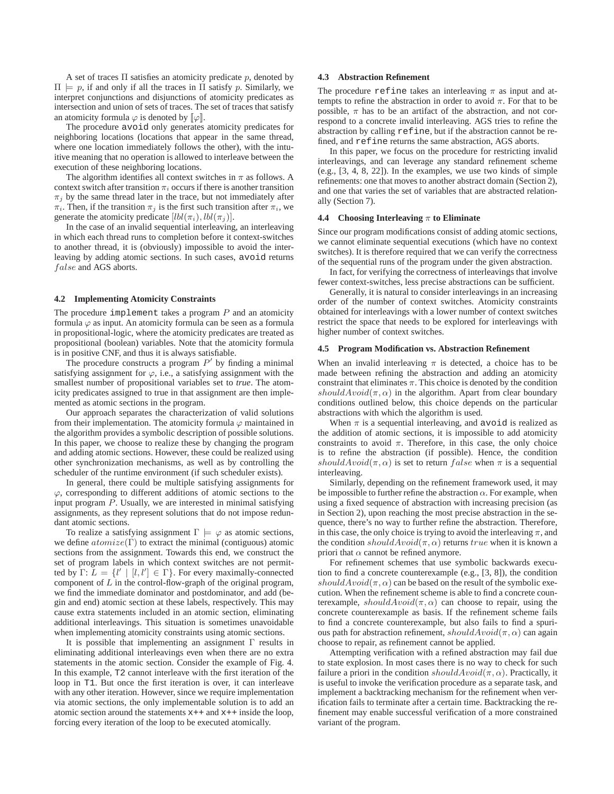A set of traces  $\Pi$  satisfies an atomicity predicate p, denoted by  $\Pi \models p$ , if and only if all the traces in  $\Pi$  satisfy p. Similarly, we interpret conjunctions and disjunctions of atomicity predicates as intersection and union of sets of traces. The set of traces that satisfy an atomicity formula  $\varphi$  is denoted by  $[\varphi]$ .

The procedure avoid only generates atomicity predicates for neighboring locations (locations that appear in the same thread, where one location immediately follows the other), with the intuitive meaning that no operation is allowed to interleave between the execution of these neighboring locations.

The algorithm identifies all context switches in  $\pi$  as follows. A context switch after transition  $\pi_i$  occurs if there is another transition  $\pi_i$  by the same thread later in the trace, but not immediately after  $\pi_i$ . Then, if the transition  $\pi_j$  is the first such transition after  $\pi_i$ , we generate the atomicity predicate  $[lb(\pi_i), lb(\pi_j)].$ 

In the case of an invalid sequential interleaving, an interleaving in which each thread runs to completion before it context-switches to another thread, it is (obviously) impossible to avoid the interleaving by adding atomic sections. In such cases, avoid returns false and AGS aborts.

#### **4.2 Implementing Atomicity Constraints**

The procedure implement takes a program  $P$  and an atomicity formula  $\varphi$  as input. An atomicity formula can be seen as a formula in propositional-logic, where the atomicity predicates are treated as propositional (boolean) variables. Note that the atomicity formula is in positive CNF, and thus it is always satisfiable.

The procedure constructs a program  $P'$  by finding a minimal satisfying assignment for  $\varphi$ , i.e., a satisfying assignment with the smallest number of propositional variables set to *true*. The atomicity predicates assigned to true in that assignment are then implemented as atomic sections in the program.

Our approach separates the characterization of valid solutions from their implementation. The atomicity formula  $\varphi$  maintained in the algorithm provides a symbolic description of possible solutions. In this paper, we choose to realize these by changing the program and adding atomic sections. However, these could be realized using other synchronization mechanisms, as well as by controlling the scheduler of the runtime environment (if such scheduler exists).

In general, there could be multiple satisfying assignments for  $\varphi$ , corresponding to different additions of atomic sections to the input program P. Usually, we are interested in minimal satisfying assignments, as they represent solutions that do not impose redundant atomic sections.

To realize a satisfying assignment  $\Gamma \models \varphi$  as atomic sections, we define  $atomic(\Gamma)$  to extract the minimal (contiguous) atomic sections from the assignment. Towards this end, we construct the set of program labels in which context switches are not permitted by  $\Gamma: L = \{l' \mid [l, l'] \in \Gamma\}$ . For every maximally-connected component of  $L$  in the control-flow-graph of the original program, we find the immediate dominator and postdominator, and add (begin and end) atomic section at these labels, respectively. This may cause extra statements included in an atomic section, eliminating additional interleavings. This situation is sometimes unavoidable when implementing atomicity constraints using atomic sections.

It is possible that implementing an assignment  $\Gamma$  results in eliminating additional interleavings even when there are no extra statements in the atomic section. Consider the example of Fig. 4. In this example, T2 cannot interleave with the first iteration of the loop in T1. But once the first iteration is over, it can interleave with any other iteration. However, since we require implementation via atomic sections, the only implementable solution is to add an atomic section around the statements  $x++$  and  $x++$  inside the loop, forcing every iteration of the loop to be executed atomically.

# **4.3 Abstraction Refinement**

The procedure refine takes an interleaving  $\pi$  as input and attempts to refine the abstraction in order to avoid  $\pi$ . For that to be possible,  $\pi$  has to be an artifact of the abstraction, and not correspond to a concrete invalid interleaving. AGS tries to refine the abstraction by calling refine, but if the abstraction cannot be refined, and refine returns the same abstraction, AGS aborts.

In this paper, we focus on the procedure for restricting invalid interleavings, and can leverage any standard refinement scheme (e.g., [3, 4, 8, 22]). In the examples, we use two kinds of simple refinements: one that moves to another abstract domain (Section 2), and one that varies the set of variables that are abstracted relationally (Section 7).

#### **4.4 Choosing Interleaving** π **to Eliminate**

Since our program modifications consist of adding atomic sections, we cannot eliminate sequential executions (which have no context switches). It is therefore required that we can verify the correctness of the sequential runs of the program under the given abstraction.

In fact, for verifying the correctness of interleavings that involve fewer context-switches, less precise abstractions can be sufficient.

Generally, it is natural to consider interleavings in an increasing order of the number of context switches. Atomicity constraints obtained for interleavings with a lower number of context switches restrict the space that needs to be explored for interleavings with higher number of context switches.

#### **4.5 Program Modification vs. Abstraction Refinement**

When an invalid interleaving  $\pi$  is detected, a choice has to be made between refining the abstraction and adding an atomicity constraint that eliminates  $\pi$ . This choice is denoted by the condition shouldAvoid( $\pi, \alpha$ ) in the algorithm. Apart from clear boundary conditions outlined below, this choice depends on the particular abstractions with which the algorithm is used.

When  $\pi$  is a sequential interleaving, and avoid is realized as the addition of atomic sections, it is impossible to add atomicity constraints to avoid  $\pi$ . Therefore, in this case, the only choice is to refine the abstraction (if possible). Hence, the condition should $Avoid(\pi,\alpha)$  is set to return false when  $\pi$  is a sequential interleaving.

Similarly, depending on the refinement framework used, it may be impossible to further refine the abstraction  $\alpha$ . For example, when using a fixed sequence of abstraction with increasing precision (as in Section 2), upon reaching the most precise abstraction in the sequence, there's no way to further refine the abstraction. Therefore, in this case, the only choice is trying to avoid the interleaving  $\pi$ , and the condition  $shouldAvoid(\pi,\alpha)$  returns true when it is known a priori that  $\alpha$  cannot be refined anymore.

For refinement schemes that use symbolic backwards execution to find a concrete counterexample (e.g., [3, 8]), the condition shouldAvoid( $\pi, \alpha$ ) can be based on the result of the symbolic execution. When the refinement scheme is able to find a concrete counterexample,  $shouldAvoid(\pi,\alpha)$  can choose to repair, using the concrete counterexample as basis. If the refinement scheme fails to find a concrete counterexample, but also fails to find a spurious path for abstraction refinement,  $shouldAvoid(\pi,\alpha)$  can again choose to repair, as refinement cannot be applied.

Attempting verification with a refined abstraction may fail due to state explosion. In most cases there is no way to check for such failure a priori in the condition  $shouldAvoid(\pi,\alpha)$ . Practically, it is useful to invoke the verification procedure as a separate task, and implement a backtracking mechanism for the refinement when verification fails to terminate after a certain time. Backtracking the refinement may enable successful verification of a more constrained variant of the program.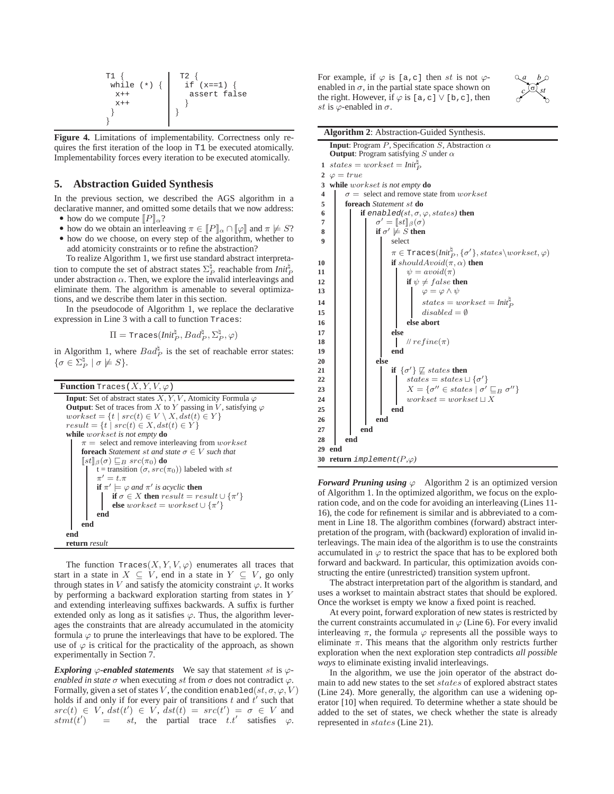

**Figure 4.** Limitations of implementability. Correctness only requires the first iteration of the loop in T1 be executed atomically. Implementability forces every iteration to be executed atomically.

## **5. Abstraction Guided Synthesis**

In the previous section, we described the AGS algorithm in a declarative manner, and omitted some details that we now address:

- how do we compute  $[P]_{\alpha}$ ?
- how do we obtain an interleaving  $\pi \in [P]_{\alpha} \cap [\varphi]$  and  $\pi \not\models S$ ? • how do we choose, on every step of the algorithm, whether to add atomicity constraints or to refine the abstraction?

To realize Algorithm 1, we first use standard abstract interpretation to compute the set of abstract states  $\Sigma_P^{\natural}$  reachable from  $\textit{Init}_P^{\natural}$ under abstraction  $\alpha$ . Then, we explore the invalid interleavings and eliminate them. The algorithm is amenable to several optimizations, and we describe them later in this section.

In the pseudocode of Algorithm 1, we replace the declarative expression in Line 3 with a call to function Traces:

$$
\Pi=\texttt{Traces}(\textit{Init}_P^\natural,\textit{Bad}_P^\natural,\Sigma_P^\natural,\varphi)
$$

in Algorithm 1, where  $Bad_P^{\dagger}$  is the set of reachable error states:  $\{\sigma \in \Sigma_P^{\natural} \mid \sigma \not\models S\}.$ 

| <b>Function</b> Traces $(X, Y, V, \varphi)$                                 |  |  |
|-----------------------------------------------------------------------------|--|--|
| <b>Input:</b> Set of abstract states X, Y, V, Atomicity Formula $\varphi$   |  |  |
| <b>Output:</b> Set of traces from X to Y passing in V, satisfying $\varphi$ |  |  |
| $workset = \{t \mid src(t) \in V \setminus X, dst(t) \in Y\}$               |  |  |
| $result = \{t \mid src(t) \in X, dst(t) \in Y\}$                            |  |  |
| while workset is not empty do                                               |  |  |
| $\pi$ = select and remove interleaving from $workset$                       |  |  |
| <b>foreach</b> Statement st and state $\sigma \in V$ such that              |  |  |
| $  st  _{\beta}(\sigma) \sqsubseteq_B src(\pi_0)$ do                        |  |  |
| t = transition $(\sigma, src(\pi_0))$ labeled with st                       |  |  |
| $\pi' = t \cdot \pi$                                                        |  |  |
| if $\pi' \models \varphi$ and $\pi'$ is acyclic then                        |  |  |
| if $\sigma \in X$ then $result = result \cup {\tau'}$                       |  |  |
| else <i>workset</i> = <i>workset</i> $\cup$ { $\pi'$ }                      |  |  |
| end                                                                         |  |  |
| end                                                                         |  |  |
| end                                                                         |  |  |
| <b>return</b> result                                                        |  |  |

The function  $Trace(X, Y, V, \varphi)$  enumerates all traces that start in a state in  $X \subseteq V$ , end in a state in  $Y \subseteq V$ , go only through states in  $V$  and satisfy the atomicity constraint  $\varphi$ . It works by performing a backward exploration starting from states in Y and extending interleaving suffixes backwards. A suffix is further extended only as long as it satisfies  $\varphi$ . Thus, the algorithm leverages the constraints that are already accumulated in the atomicity formula  $\varphi$  to prune the interleavings that have to be explored. The use of  $\varphi$  is critical for the practicality of the approach, as shown experimentally in Section 7.

*Exploring*  $\varphi$ -enabled statements We say that statement st is  $\varphi$ *enabled in state*  $\sigma$  when executing st from  $\sigma$  does not contradict  $\varphi$ . Formally, given a set of states V, the condition enabled $(st, \sigma, \varphi, V)$ holds if and only if for every pair of transitions t and  $t'$  such that  $src(t) \in V$ ,  $dst(t') \in V$ ,  $dst(t) = src(t') = \sigma \in V$  and  $s t m t$ <sup>'</sup> $t'$ ) = st, the partial trace  $t \cdot t'$  satisfies  $\varphi$ .

For example, if  $\varphi$  is [a,c] then st is not  $\varphi$ enabled in  $\sigma$ , in the partial state space shown on the right. However, if  $\varphi$  is [a,c]  $\vee$  [b,c], then st is  $\varphi$ -enabled in  $\sigma$ .



|          | Algorithm 2: Abstraction-Guided Synthesis.                     |                  |     |     |                                                                                                  |
|----------|----------------------------------------------------------------|------------------|-----|-----|--------------------------------------------------------------------------------------------------|
|          | <b>Input:</b> Program P, Specification S, Abstraction $\alpha$ |                  |     |     |                                                                                                  |
|          | <b>Output:</b> Program satisfying S under $\alpha$             |                  |     |     |                                                                                                  |
| 1        |                                                                |                  |     |     | $states = workset = Init_{\scriptscriptstyle D}^{\scriptscriptstyle \mu}$                        |
| 2        |                                                                | $\varphi = true$ |     |     |                                                                                                  |
| 3        |                                                                |                  |     |     | while workset is not empty $do$                                                                  |
| 4        |                                                                |                  |     |     | $\sigma =$ select and remove state from $workset$                                                |
| 5        |                                                                |                  |     |     | foreach Statement st do                                                                          |
| 6        |                                                                |                  |     |     | <b>if</b> enabled(st, $\sigma$ , $\varphi$ , states) <b>then</b>                                 |
| 7        |                                                                |                  |     |     | $\sigma' = [st]_{\beta}(\sigma)$                                                                 |
| 8        |                                                                |                  |     |     | if $\sigma' \not\models S$ then                                                                  |
| 9        |                                                                |                  |     |     | select                                                                                           |
|          |                                                                |                  |     |     | $\pi \in \text{Traces}(Init_P^{\mathbb{I}}, \{\sigma'\}, states \wedge workset, \varphi)$        |
| 10       |                                                                |                  |     |     | if should $Avoid(\pi,\alpha)$ then                                                               |
| 11       |                                                                |                  |     |     | $\psi = avoid(\pi)$                                                                              |
| 12<br>13 |                                                                |                  |     |     | if $\psi \neq false$ then                                                                        |
|          |                                                                |                  |     |     | $\varphi = \varphi \wedge \psi$                                                                  |
| 14       |                                                                |                  |     |     | states = $workset = Init_P^{\mathfrak{q}}$                                                       |
| 15       |                                                                |                  |     |     | $disabeled = \emptyset$                                                                          |
| 16       |                                                                |                  |     |     | else abort                                                                                       |
| 17       |                                                                |                  |     |     | else                                                                                             |
| 18       |                                                                |                  |     |     | // $refine(\pi)$                                                                                 |
| 19       |                                                                |                  |     |     | end<br>else                                                                                      |
| 20<br>21 |                                                                |                  |     |     | if $\{\sigma'\}\not\sqsubseteq states$ then                                                      |
| 22       |                                                                |                  |     |     | $states = states \sqcup \{\sigma'\}$                                                             |
| 23       |                                                                |                  |     |     |                                                                                                  |
| 24       |                                                                |                  |     |     | $X = \{ \sigma'' \in states \mid \sigma' \sqsubseteq_B \sigma'' \}$ workset = workset $\sqcup X$ |
| 25       |                                                                |                  |     |     | end                                                                                              |
| 26       |                                                                |                  |     |     | end                                                                                              |
| 27       |                                                                |                  |     | end |                                                                                                  |
| 28       |                                                                |                  | end |     |                                                                                                  |
| 29       |                                                                | end              |     |     |                                                                                                  |
|          | 30 return implement( $P,\varphi$ )                             |                  |     |     |                                                                                                  |

*Forward Pruning using*  $\varphi$  Algorithm 2 is an optimized version of Algorithm 1. In the optimized algorithm, we focus on the exploration code, and on the code for avoiding an interleaving (Lines 11- 16), the code for refinement is similar and is abbreviated to a comment in Line 18. The algorithm combines (forward) abstract interpretation of the program, with (backward) exploration of invalid interleavings. The main idea of the algorithm is to use the constraints accumulated in  $\varphi$  to restrict the space that has to be explored both forward and backward. In particular, this optimization avoids constructing the entire (unrestricted) transition system upfront.

The abstract interpretation part of the algorithm is standard, and uses a workset to maintain abstract states that should be explored. Once the workset is empty we know a fixed point is reached.

At every point, forward exploration of new states is restricted by the current constraints accumulated in  $\varphi$  (Line 6). For every invalid interleaving  $\pi$ , the formula  $\varphi$  represents all the possible ways to eliminate  $\pi$ . This means that the algorithm only restricts further exploration when the next exploration step contradicts *all possible ways* to eliminate existing invalid interleavings.

In the algorithm, we use the join operator of the abstract domain to add new states to the set states of explored abstract states (Line 24). More generally, the algorithm can use a widening operator [10] when required. To determine whether a state should be added to the set of states, we check whether the state is already represented in states (Line 21).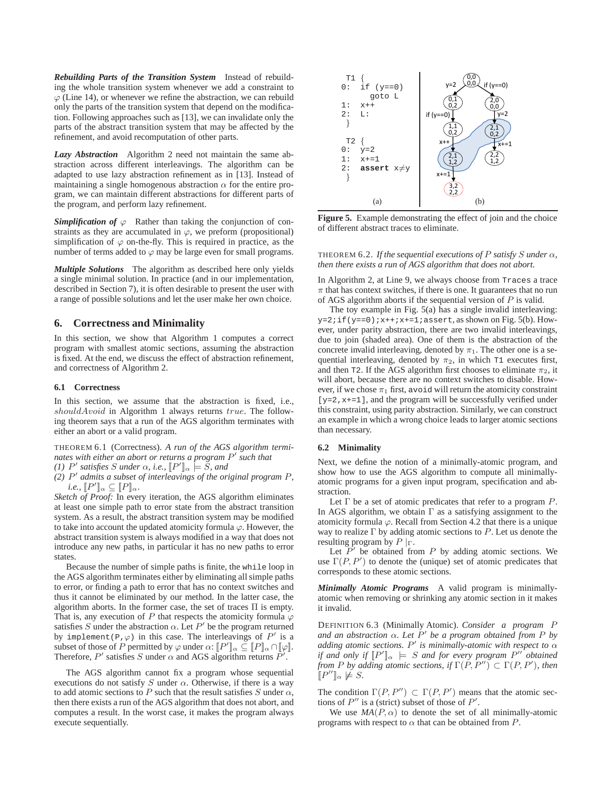*Rebuilding Parts of the Transition System* Instead of rebuilding the whole transition system whenever we add a constraint to  $\varphi$  (Line 14), or whenever we refine the abstraction, we can rebuild only the parts of the transition system that depend on the modification. Following approaches such as [13], we can invalidate only the parts of the abstract transition system that may be affected by the refinement, and avoid recomputation of other parts.

*Lazy Abstraction* Algorithm 2 need not maintain the same abstraction across different interleavings. The algorithm can be adapted to use lazy abstraction refinement as in [13]. Instead of maintaining a single homogenous abstraction  $\alpha$  for the entire program, we can maintain different abstractions for different parts of the program, and perform lazy refinement.

*Simplification of*  $\varphi$  Rather than taking the conjunction of constraints as they are accumulated in  $\varphi$ , we preform (propositional) simplification of  $\varphi$  on-the-fly. This is required in practice, as the number of terms added to  $\varphi$  may be large even for small programs.

*Multiple Solutions* The algorithm as described here only yields a single minimal solution. In practice (and in our implementation, described in Section 7), it is often desirable to present the user with a range of possible solutions and let the user make her own choice.

# **6. Correctness and Minimality**

In this section, we show that Algorithm 1 computes a correct program with smallest atomic sections, assuming the abstraction is fixed. At the end, we discuss the effect of abstraction refinement, and correctness of Algorithm 2.

#### **6.1 Correctness**

In this section, we assume that the abstraction is fixed, i.e.,  $should Avoid$  in Algorithm 1 always returns  $true$ . The following theorem says that a run of the AGS algorithm terminates with either an abort or a valid program.

THEOREM 6.1 (Correctness). *A run of the AGS algorithm terminates with either an abort or returns a program* P ′ *such that*

- *(1)*  $P'$  satisfies  $S$  *under*  $\alpha$ , *i.e.*,  $[$  $P'$  $]_{\alpha}$   $\models S$ *, and*
- *(2)* P ′ *admits a subset of interleavings of the original program* P*,*  $i.e., \, [P']_{\alpha} \subseteq [P]_{\alpha}.$

*Sketch of Proof:* In every iteration, the AGS algorithm eliminates at least one simple path to error state from the abstract transition system. As a result, the abstract transition system may be modified to take into account the updated atomicity formula  $\varphi$ . However, the abstract transition system is always modified in a way that does not introduce any new paths, in particular it has no new paths to error states.

Because the number of simple paths is finite, the while loop in the AGS algorithm terminates either by eliminating all simple paths to error, or finding a path to error that has no context switches and thus it cannot be eliminated by our method. In the latter case, the algorithm aborts. In the former case, the set of traces  $\Pi$  is empty. That is, any execution of P that respects the atomicity formula  $\varphi$ satisfies S under the abstraction  $\alpha$ . Let P' be the program returned by implement (P, $\varphi$ ) in this case. The interleavings of  $P'$  is a subset of those of P permitted by  $\varphi$  under  $\alpha$ :  $[P']_{\alpha} \subseteq [P]_{\alpha} \cap [\varphi]$ . Therefore,  $P'$  satisfies S under  $\alpha$  and AGS algorithm returns  $P'$ .

The AGS algorithm cannot fix a program whose sequential executions do not satisfy S under  $\alpha$ . Otherwise, if there is a way to add atomic sections to P such that the result satisfies S under  $\alpha$ , then there exists a run of the AGS algorithm that does not abort, and computes a result. In the worst case, it makes the program always execute sequentially.



**Figure 5.** Example demonstrating the effect of join and the choice of different abstract traces to eliminate.

THEOREM 6.2. *If the sequential executions of*  $P$  *satisfy*  $S$  *under*  $\alpha$ *, then there exists a run of AGS algorithm that does not abort.*

In Algorithm 2, at Line 9, we always choose from Traces a trace  $\pi$  that has context switches, if there is one. It guarantees that no run of AGS algorithm aborts if the sequential version of  $P$  is valid.

The toy example in Fig. 5(a) has a single invalid interleaving:  $y=2$ ; if( $y=-0$ ); $x++$ ; $x+=1$ ; assert, as shown on Fig. 5(b). However, under parity abstraction, there are two invalid interleavings, due to join (shaded area). One of them is the abstraction of the concrete invalid interleaving, denoted by  $\pi_1$ . The other one is a sequential interleaving, denoted by  $\pi_2$ , in which T1 executes first, and then T2. If the AGS algorithm first chooses to eliminate  $\pi_2$ , it will abort, because there are no context switches to disable. However, if we chose  $\pi_1$  first, avoid will return the atomicity constraint  $[y=2, x+=1]$ , and the program will be successfully verified under this constraint, using parity abstraction. Similarly, we can construct an example in which a wrong choice leads to larger atomic sections than necessary.

#### **6.2 Minimality**

Next, we define the notion of a minimally-atomic program, and show how to use the AGS algorithm to compute all minimallyatomic programs for a given input program, specification and abstraction.

Let  $\Gamma$  be a set of atomic predicates that refer to a program  $P$ . In AGS algorithm, we obtain  $\Gamma$  as a satisfying assignment to the atomicity formula  $\varphi$ . Recall from Section 4.2 that there is a unique way to realize  $\Gamma$  by adding atomic sections to P. Let us denote the resulting program by  $P \mid_{\Gamma}$ .

Let  $P'$  be obtained from P by adding atomic sections. We use  $\Gamma(P, P')$  to denote the (unique) set of atomic predicates that corresponds to these atomic sections.

*Minimally Atomic Programs* A valid program is minimallyatomic when removing or shrinking any atomic section in it makes it invalid.

DEFINITION 6.3 (Minimally Atomic). *Consider a program* P *and an abstraction* α*. Let* P ′ *be a program obtained from* P *by adding atomic sections.* P ′ *is minimally-atomic with respect to* α *if and only if*  $[ P' ]_{\alpha} \models S$  *and for every program*  $P''$  *obtained from P* by adding atomic sections, if  $\Gamma(P, P'') \subset \Gamma(P, P')$ , then  $[P'']_\alpha \not\models S.$ 

The condition  $\Gamma(P, P'') \subset \Gamma(P, P')$  means that the atomic sections of  $P''$  is a (strict) subset of those of  $P'$ .

We use  $MA(P, \alpha)$  to denote the set of all minimally-atomic programs with respect to  $\alpha$  that can be obtained from  $P$ .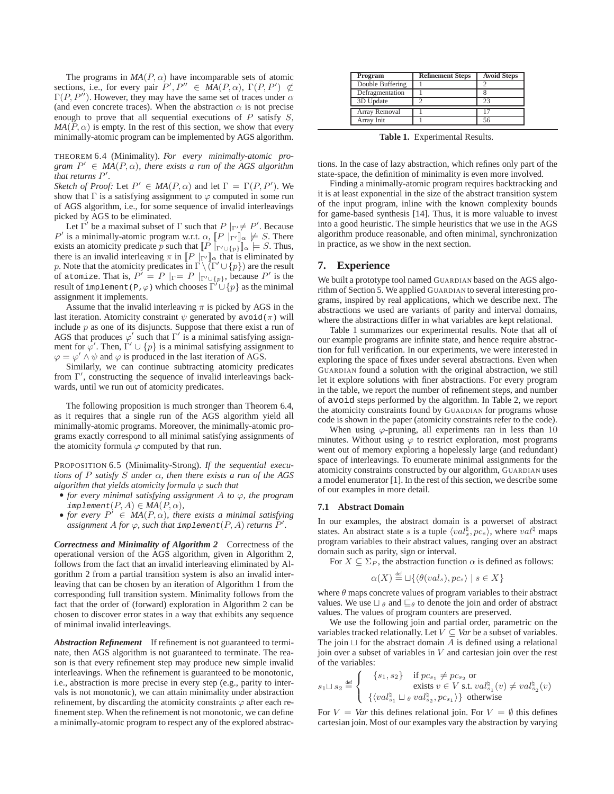The programs in  $MA(P, \alpha)$  have incomparable sets of atomic sections, i.e., for every pair  $P', P'' \in MA(P, \alpha)$ ,  $\Gamma(P, P') \not\subset$  $\Gamma(P, P'')$ . However, they may have the same set of traces under  $\alpha$ (and even concrete traces). When the abstraction  $\alpha$  is not precise enough to prove that all sequential executions of  $P$  satisfy  $S$ ,  $MA(P, \alpha)$  is empty. In the rest of this section, we show that every minimally-atomic program can be implemented by AGS algorithm.

THEOREM 6.4 (Minimality). *For every minimally-atomic program*  $P' \in MA(P, \alpha)$ *, there exists a run of the AGS algorithm that returns*  $P'$ *.* 

*Sketch of Proof:* Let  $P' \in MA(P, \alpha)$  and let  $\Gamma = \Gamma(P, P')$ . We show that  $\Gamma$  is a satisfying assignment to  $\varphi$  computed in some run of AGS algorithm, i.e., for some sequence of invalid interleavings picked by AGS to be eliminated.

Let  $\Gamma'$  be a maximal subset of  $\Gamma$  such that  $P|_{\Gamma'} \neq P'$ . Because P' is a minimally-atomic program w.r.t.  $\alpha$ ,  $[P |_{\Gamma'}]_{\alpha} \not\models S$ . There exists an atomicity predicate p such that  $[P |_{\Gamma' \cup \{p\}}]_{\alpha} \models S$ . Thus, there is an invalid interleaving  $\pi$  in  $[P |_{\Gamma'}]_{\alpha}$  that is eliminated by p. Note that the atomicity predicates in  $\Gamma \setminus (\Gamma' \cup \{p\})$  are the result of atomize. That is,  $P' = P \mid_{\Gamma} = P \mid_{\Gamma' \cup \{p\}}$ , because  $P'$  is the result of implement (P,  $\varphi$ ) which chooses  $\Gamma^{\check{U}} \cup \{p\}$  as the minimal assignment it implements.

Assume that the invalid interleaving  $\pi$  is picked by AGS in the last iteration. Atomicity constraint  $\psi$  generated by avoid(π) will include  $p$  as one of its disjuncts. Suppose that there exist a run of AGS that produces  $\varphi'$  such that  $\Gamma'$  is a minimal satisfying assignment for  $\varphi'$ . Then,  $\Gamma' \cup \{p\}$  is a minimal satisfying assignment to  $\varphi = \varphi' \wedge \psi$  and  $\varphi$  is produced in the last iteration of AGS.

Similarly, we can continue subtracting atomicity predicates from Γ ′ , constructing the sequence of invalid interleavings backwards, until we run out of atomicity predicates.

The following proposition is much stronger than Theorem 6.4, as it requires that a single run of the AGS algorithm yield all minimally-atomic programs. Moreover, the minimally-atomic programs exactly correspond to all minimal satisfying assignments of the atomicity formula  $\varphi$  computed by that run.

PROPOSITION 6.5 (Minimality-Strong). *If the sequential executions of* P *satisfy* S *under* α*, then there exists a run of the AGS algorithm that yields atomicity formula*  $\varphi$  *such that* 

- *for every minimal satisfying assignment* A *to* ϕ*, the program*  $\text{implement}(P, A) \in MA(P, \alpha)$ ,
- for every  $P' \in MA(P, \alpha)$ , there exists a minimal satisfying assignment  $A$  for  $\varphi$ , such that implement( $P, A$ ) returns  $P'.$

*Correctness and Minimality of Algorithm 2* Correctness of the operational version of the AGS algorithm, given in Algorithm 2, follows from the fact that an invalid interleaving eliminated by Algorithm 2 from a partial transition system is also an invalid interleaving that can be chosen by an iteration of Algorithm 1 from the corresponding full transition system. Minimality follows from the fact that the order of (forward) exploration in Algorithm 2 can be chosen to discover error states in a way that exhibits any sequence of minimal invalid interleavings.

*Abstraction Refinement* If refinement is not guaranteed to terminate, then AGS algorithm is not guaranteed to terminate. The reason is that every refinement step may produce new simple invalid interleavings. When the refinement is guaranteed to be monotonic, i.e., abstraction is more precise in every step (e.g., parity to intervals is not monotonic), we can attain minimality under abstraction refinement, by discarding the atomicity constraints  $\varphi$  after each refinement step. When the refinement is not monotonic, we can define a minimally-atomic program to respect any of the explored abstrac-

| Program          | <b>Refinement Steps</b> | <b>Avoid Steps</b> |
|------------------|-------------------------|--------------------|
| Double Buffering |                         |                    |
| Defragmentation  |                         |                    |
| 3D Update        |                         |                    |
| Array Removal    |                         |                    |
| Array Init       |                         |                    |

**Table 1.** Experimental Results.

tions. In the case of lazy abstraction, which refines only part of the state-space, the definition of minimality is even more involved.

Finding a minimally-atomic program requires backtracking and it is at least exponential in the size of the abstract transition system of the input program, inline with the known complexity bounds for game-based synthesis [14]. Thus, it is more valuable to invest into a good heuristic. The simple heuristics that we use in the AGS algorithm produce reasonable, and often minimal, synchronization in practice, as we show in the next section.

## **7. Experience**

We built a prototype tool named GUARDIAN based on the AGS algorithm of Section 5. We applied GUARDIAN to several interesting programs, inspired by real applications, which we describe next. The abstractions we used are variants of parity and interval domains, where the abstractions differ in what variables are kept relational.

Table 1 summarizes our experimental results. Note that all of our example programs are infinite state, and hence require abstraction for full verification. In our experiments, we were interested in exploring the space of fixes under several abstractions. Even when GUARDIAN found a solution with the original abstraction, we still let it explore solutions with finer abstractions. For every program in the table, we report the number of refinement steps, and number of avoid steps performed by the algorithm. In Table 2, we report the atomicity constraints found by GUARDIAN for programs whose code is shown in the paper (atomicity constraints refer to the code).

When using  $\varphi$ -pruning, all experiments ran in less than 10 minutes. Without using  $\varphi$  to restrict exploration, most programs went out of memory exploring a hopelessly large (and redundant) space of interleavings. To enumerate minimal assignments for the atomicity constraints constructed by our algorithm, GUARDIAN uses a model enumerator [1]. In the rest of this section, we describe some of our examples in more detail.

#### **7.1 Abstract Domain**

In our examples, the abstract domain is a powerset of abstract states. An abstract state s is a tuple  $\langle val_s^{\natural}, pc_s \rangle$ , where  $val^{\natural}$  maps program variables to their abstract values, ranging over an abstract domain such as parity, sign or interval.

For  $X \subseteq \Sigma_P$ , the abstraction function  $\alpha$  is defined as follows:

$$
\alpha(X) \stackrel{\text{def}}{=} \Box \{ \langle \theta(vals), pc_s \rangle \mid s \in X \}
$$

where  $\theta$  maps concrete values of program variables to their abstract values. We use  $\sqcup$   $\theta$  and  $\sqsubseteq$  $\theta$  to denote the join and order of abstract values. The values of program counters are preserved.

We use the following join and partial order, parametric on the variables tracked relationally. Let  $V \subseteq Var$  be a subset of variables. The join  $□$  for the abstract domain A is defined using a relational join over a subset of variables in  $V$  and cartesian join over the rest of the variables:

$$
s_1 \sqcup s_2 \stackrel{\text{def}}{=} \left\{ \begin{array}{cl} \{s_1, s_2\} & \text{if } pc_{s_1} \neq pc_{s_2} \text{ or} \\ & \text{exists } v \in V \text{ s.t. } val_{s_1}^{\natural}(v) \neq val_{s_2}^{\natural}(v) \\ \{\langle val_{s_1}^{\natural} \sqcup \emptyset \text{ } val_{s_2}^{\natural}, pc_{s_1} \rangle\} & \text{otherwise} \end{array} \right.
$$

For  $V = Var$  this defines relational join. For  $V = \emptyset$  this defines cartesian join. Most of our examples vary the abstraction by varying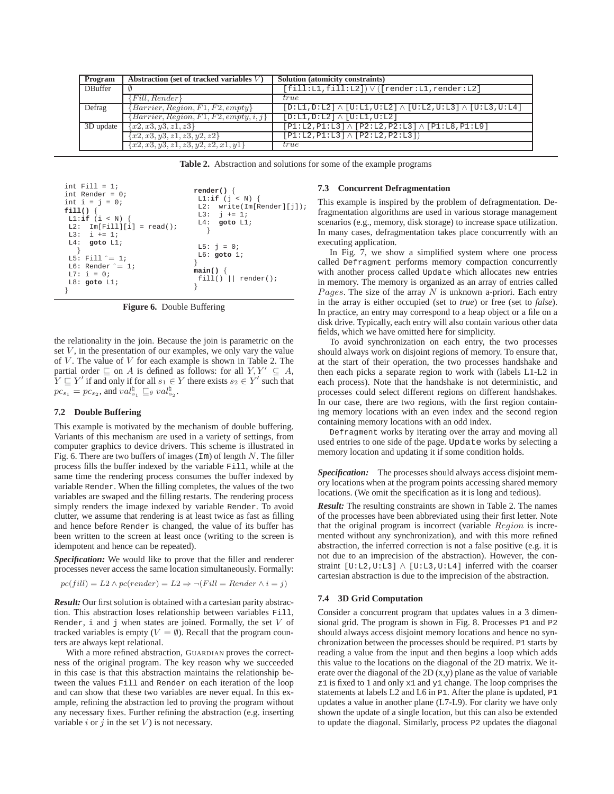| Program        | Abstraction (set of tracked variables $V$ ) | Solution (atomicity constraints)                                                   |
|----------------|---------------------------------------------|------------------------------------------------------------------------------------|
| <b>DBuffer</b> |                                             | $[\overline{\text{fill:L1},\text{fill:L2}}]$ $\vee$ ([render:L1, render:L2]        |
|                | $\{Fill, Render\}$                          | true                                                                               |
| Defrag         | ${Barrier, Region, F1, F2, empty}$          | $[D: L1, D: L2] \wedge [U: L1, U: L2] \wedge [U: L2, U: L3] \wedge [U: L3, U: L4]$ |
|                | ${Barrier, Region, F1, F2, empty, i, j}$    | $[D:LI,D:LI] \wedge [U:LI,U:LI]$                                                   |
| 3D update      | ${x2, x3, y3, z1, z3}$                      | $[P1:L2,P1:L3] \wedge [P2:L2,P2:L3] \wedge [P1:L8,P1:L9]$                          |
|                | ${x2, x3, y3, z1, z3, y2, z2}$              | $[$ P1:L2,P1:L3] $\wedge$ [P2:L2,P2:L3])                                           |
|                | ${x2, x3, y3, z1, z3, y2, z2, x1, y1}$      | <i>true</i>                                                                        |

**Table 2.** Abstraction and solutions for some of the example programs



**Figure 6.** Double Buffering

the relationality in the join. Because the join is parametric on the set  $V$ , in the presentation of our examples, we only vary the value of  $V$ . The value of  $V$  for each example is shown in Table 2. The partial order  $\sqsubseteq$  on A is defined as follows: for all  $Y, Y' \subseteq A$ ,  $\hat{Y} \sqsubseteq Y'$  if and only if for all  $s_1 \in Y$  there exists  $s_2 \in Y'$  such that  $pc_{s_1} = pc_{s_2}$ , and  $val_{s_1}^{\natural} \sqsubseteq_{\theta} val_{s_2}^{\natural}$ .

#### **7.2 Double Buffering**

This example is motivated by the mechanism of double buffering. Variants of this mechanism are used in a variety of settings, from computer graphics to device drivers. This scheme is illustrated in Fig. 6. There are two buffers of images (Im) of length  $N$ . The filler process fills the buffer indexed by the variable Fill, while at the same time the rendering process consumes the buffer indexed by variable Render. When the filling completes, the values of the two variables are swaped and the filling restarts. The rendering process simply renders the image indexed by variable Render. To avoid clutter, we assume that rendering is at least twice as fast as filling and hence before Render is changed, the value of its buffer has been written to the screen at least once (writing to the screen is idempotent and hence can be repeated).

*Specification:* We would like to prove that the filler and renderer processes never access the same location simultaneously. Formally:

$$
pc(fill) = L2 \land pc(render) = L2 \Rightarrow \neg (Fill = Render \land i = j)
$$

*Result:* Our first solution is obtained with a cartesian parity abstraction. This abstraction loses relationship between variables Fill, Render,  $i$  and  $j$  when states are joined. Formally, the set  $V$  of tracked variables is empty ( $V = \emptyset$ ). Recall that the program counters are always kept relational.

With a more refined abstraction, GUARDIAN proves the correctness of the original program. The key reason why we succeeded in this case is that this abstraction maintains the relationship between the values Fill and Render on each iteration of the loop and can show that these two variables are never equal. In this example, refining the abstraction led to proving the program without any necessary fixes. Further refining the abstraction (e.g. inserting variable i or j in the set  $V$ ) is not necessary.

#### **7.3 Concurrent Defragmentation**

This example is inspired by the problem of defragmentation. Defragmentation algorithms are used in various storage management scenarios (e.g., memory, disk storage) to increase space utilization. In many cases, defragmentation takes place concurrently with an executing application.

In Fig. 7, we show a simplified system where one process called Defragment performs memory compaction concurrently with another process called Update which allocates new entries in memory. The memory is organized as an array of entries called Pages. The size of the array  $N$  is unknown a-priori. Each entry in the array is either occupied (set to *true*) or free (set to *false*). In practice, an entry may correspond to a heap object or a file on a disk drive. Typically, each entry will also contain various other data fields, which we have omitted here for simplicity.

To avoid synchronization on each entry, the two processes should always work on disjoint regions of memory. To ensure that, at the start of their operation, the two processes handshake and then each picks a separate region to work with (labels L1-L2 in each process). Note that the handshake is not deterministic, and processes could select different regions on different handshakes. In our case, there are two regions, with the first region containing memory locations with an even index and the second region containing memory locations with an odd index.

Defragment works by iterating over the array and moving all used entries to one side of the page. Update works by selecting a memory location and updating it if some condition holds.

*Specification:* The processes should always access disjoint memory locations when at the program points accessing shared memory locations. (We omit the specification as it is long and tedious).

*Result:* The resulting constraints are shown in Table 2. The names of the processes have been abbreviated using their first letter. Note that the original program is incorrect (variable Region is incremented without any synchronization), and with this more refined abstraction, the inferred correction is not a false positive (e.g. it is not due to an imprecision of the abstraction). However, the constraint  $[U: L2, U: L3] \wedge [U: L3, U: L4]$  inferred with the coarser cartesian abstraction is due to the imprecision of the abstraction.

#### **7.4 3D Grid Computation**

Consider a concurrent program that updates values in a 3 dimensional grid. The program is shown in Fig. 8. Processes P1 and P2 should always access disjoint memory locations and hence no synchronization between the processes should be required. P1 starts by reading a value from the input and then begins a loop which adds this value to the locations on the diagonal of the 2D matrix. We iterate over the diagonal of the  $2D(x,y)$  plane as the value of variable z1 is fixed to 1 and only x1 and y1 change. The loop comprises the statements at labels L2 and L6 in P1. After the plane is updated, P1 updates a value in another plane (L7-L9). For clarity we have only shown the update of a single location, but this can also be extended to update the diagonal. Similarly, process P2 updates the diagonal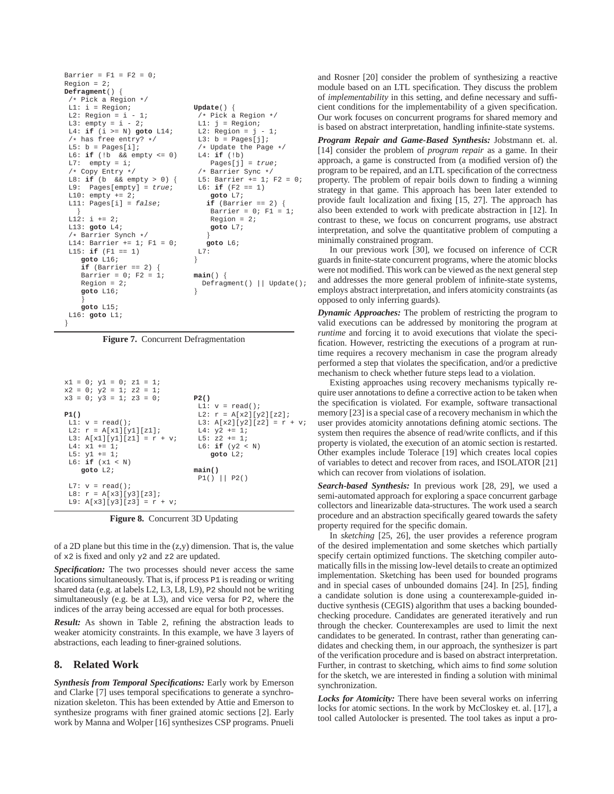```
Barrier = F1 = F2 = 0:
Reajon = 2;Defragment() {
 /* Pick a Region */
 L1: i = Region;
 L2: Region = i - 1;
 L3: empty = i - 2iL4: if (i >= N) goto L14;
 /* has free entry? */
 L5: b = Pages[i];L6: if (!b && empty <= 0)
 L7: empty = i;
 /* Copy Entry */
 L8: if (b && empty > 0) {
 L9: Pages[empty] = true;
 L10: empty += 2;L11: Pages[i] = false;}
L12: i += 2;
 L13: goto L4;
 /* Barrier Synch */
 L14: Barrier += 1; F1 = 0;
 L15: if (F1 == 1)
    goto L16;
    if (Barrier == 2) {
    Barrier = 0; F2 = 1;
    Region = 2;
    goto L16;
    }
    goto L15;
 L16: goto L1;
}
                               Update() {
                                 /* Pick a Region */
                                L1: j = Region;
                                L2: Region = j - 1;L3: b = Pages[j];/* Update the Page */
                                 L4: if (!b)
                                   Pages[j] = true;
                                 /* Barrier Sync */
                                 L5: Barrier += 1; F2 = 0;
                                 L6: if (F2 == 1)
                                   goto L7;
                                   if (Barrier == 2) {
                                   Barrier = 0; F1 = 1;
                                   Region = 2;goto L7;
                                   }
                                   goto L6;
                                L7:
                               }
                               main() {
                                 Defragment() || Update();
                                }
```


```
x1 = 0; y1 = 0; z1 = 1;\verb|x2 = 0|; y2 = 1|; z2 = 1|;\mathtt{x3~=~0:~} \mathtt{y3~=~} 1:~\mathtt{z3~=~} 0:P1()
 L1: v = read();
 L2: r = A[x1][y1][z1];L3: A[x1][y1][z1] = r + v;
 \verb|L4: x1 += 1;L5: y1 += 1;
 L6: if (x1 < N)
    goto L2;
 L7: v = read()L8: r = A[x3][y3][z3];L9: A[x3][y3][z3] = r + v;P2()
                                    L1: v = \text{read}():
                                    L2: r = A[x2][y2][z2];L3: A[x2][y2][z2] = r + v;
                                    L4: y2 += 1;
                                    L5: z2 += 1;L6: if (y2 < N)
                                       goto L2;
                                   main()
                                    P1() || P2()
```
**Figure 8.** Concurrent 3D Updating

of a 2D plane but this time in the (z,y) dimension. That is, the value of x2 is fixed and only y2 and z2 are updated.

*Specification:* The two processes should never access the same locations simultaneously. That is, if process P1 is reading or writing shared data (e.g. at labels L2, L3, L8, L9), P2 should not be writing simultaneously (e.g. be at L3), and vice versa for P2, where the indices of the array being accessed are equal for both processes.

*Result:* As shown in Table 2, refining the abstraction leads to weaker atomicity constraints. In this example, we have 3 layers of abstractions, each leading to finer-grained solutions.

# **8. Related Work**

*Synthesis from Temporal Specifications:* Early work by Emerson and Clarke [7] uses temporal specifications to generate a synchronization skeleton. This has been extended by Attie and Emerson to synthesize programs with finer grained atomic sections [2]. Early work by Manna and Wolper [16] synthesizes CSP programs. Pnueli and Rosner [20] consider the problem of synthesizing a reactive module based on an LTL specification. They discuss the problem of *implementability* in this setting, and define necessary and sufficient conditions for the implementability of a given specification. Our work focuses on concurrent programs for shared memory and is based on abstract interpretation, handling infinite-state systems.

*Program Repair and Game-Based Synthesis:* Jobstmann et. al. [14] consider the problem of *program repair* as a game. In their approach, a game is constructed from (a modified version of) the program to be repaired, and an LTL specification of the correctness property. The problem of repair boils down to finding a winning strategy in that game. This approach has been later extended to provide fault localization and fixing [15, 27]. The approach has also been extended to work with predicate abstraction in [12]. In contrast to these, we focus on concurrent programs, use abstract interpretation, and solve the quantitative problem of computing a minimally constrained program.

In our previous work [30], we focused on inference of CCR guards in finite-state concurrent programs, where the atomic blocks were not modified. This work can be viewed as the next general step and addresses the more general problem of infinite-state systems, employs abstract interpretation, and infers atomicity constraints (as opposed to only inferring guards).

*Dynamic Approaches:* The problem of restricting the program to valid executions can be addressed by monitoring the program at *runtime* and forcing it to avoid executions that violate the specification. However, restricting the executions of a program at runtime requires a recovery mechanism in case the program already performed a step that violates the specification, and/or a predictive mechanism to check whether future steps lead to a violation.

Existing approaches using recovery mechanisms typically require user annotations to define a corrective action to be taken when the specification is violated. For example, software transactional memory [23] is a special case of a recovery mechanism in which the user provides atomicity annotations defining atomic sections. The system then requires the absence of read/write conflicts, and if this property is violated, the execution of an atomic section is restarted. Other examples include Tolerace [19] which creates local copies of variables to detect and recover from races, and ISOLATOR [21] which can recover from violations of isolation.

*Search-based Synthesis:* In previous work [28, 29], we used a semi-automated approach for exploring a space concurrent garbage collectors and linearizable data-structures. The work used a search procedure and an abstraction specifically geared towards the safety property required for the specific domain.

In *sketching* [25, 26], the user provides a reference program of the desired implementation and some sketches which partially specify certain optimized functions. The sketching compiler automatically fills in the missing low-level details to create an optimized implementation. Sketching has been used for bounded programs and in special cases of unbounded domains [24]. In [25], finding a candidate solution is done using a counterexample-guided inductive synthesis (CEGIS) algorithm that uses a backing boundedchecking procedure. Candidates are generated iteratively and run through the checker. Counterexamples are used to limit the next candidates to be generated. In contrast, rather than generating candidates and checking them, in our approach, the synthesizer is part of the verification procedure and is based on abstract interpretation. Further, in contrast to sketching, which aims to find *some* solution for the sketch, we are interested in finding a solution with minimal synchronization.

*Locks for Atomicity:* There have been several works on inferring locks for atomic sections. In the work by McCloskey et. al. [17], a tool called Autolocker is presented. The tool takes as input a pro